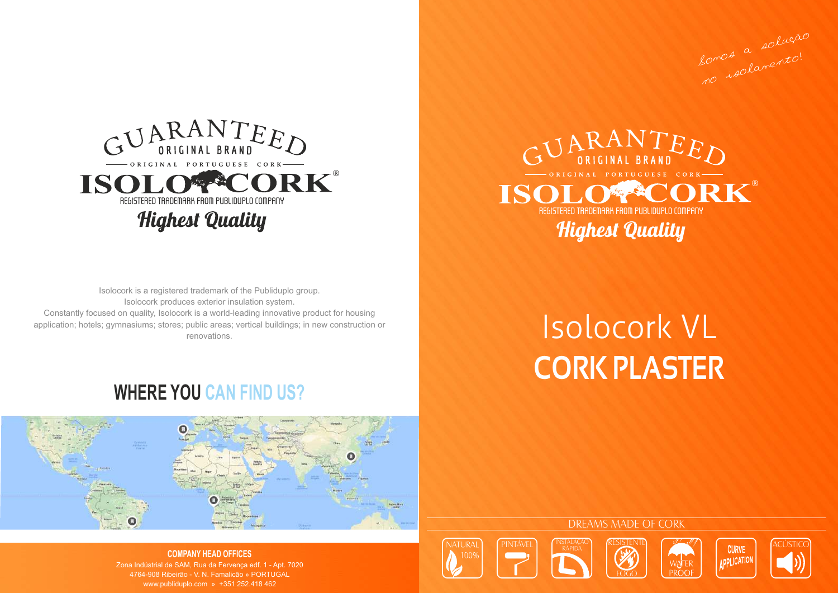

**DDI ICATION** 









Constantly focused on quality, Isolocork is a world-leading innovative product for housing application; hotels; gymnasiums; stores; public areas; vertical buildings; in new construction or renovations. Isolocork is a registered trademark of the Publiduplo group. Isolocork produces exterior insulation system.

Somos a solução Somos a mento!

## **WHERE YOU CAN FIND US?**



### **COMPANY HEAD OFFICES**

Zona Indústrial de SAM, Rua da Fervença edf. 1 - Apt. 7020 4764-908 Ribeirão - V. N. Famalicão » PORTUGAL www.publiduplo.com » +351 252.418 462



# **CORK PLASTER** Isolocork VL